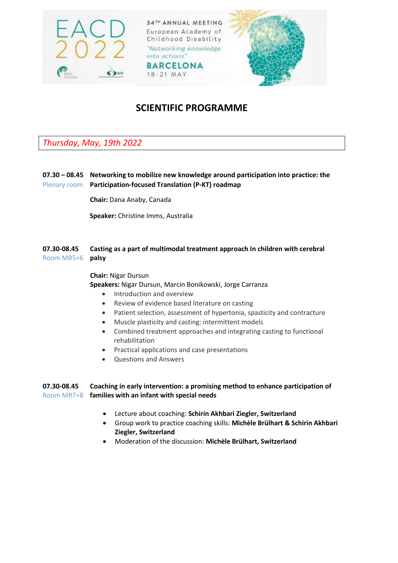



# **SCIENTIFIC PROGRAMME**

*Thursday, May, 19th 2022* 

## **07.30 – 08.45 Networking to mobilize new knowledge around participation into practice: the**  Plenary room **Participation-focused Translation (P-KT) roadmap**

**Chair:** Dana Anaby, Canada

**Speaker:** Christine Imms, Australia

## **07.30-08.45 Casting as a part of multimodal treatment approach In children with cerebral**  Room MR5+6 **palsy**

**Chair:** Nigar Dursun **Speakers:** Nigar Dursun, Marcin Bonikowski, Jorge Carranza

- Introduction and overview
- Review of evidence based literature on casting
- Patient selection, assessment of hypertonia, spasticity and contracture
- Muscle plasticity and casting: intermittent models
- Combined treatment approaches and integrating casting to functional rehabilitation
- Practical applications and case presentations
- Questions and Answers

## **07.30-08.45 Coaching in early intervention: a promising method to enhance participation of**  Room MR7+8 **families with an infant with special needs**

- Lecture about coaching: **Schirin Akhbari Ziegler, Switzerland**
- Group work to practice coaching skills: **Michèle Brülhart & Schirin Akhbari Ziegler, Switzerland**
- Moderation of the discussion: **Michèle Brülhart, Switzerland**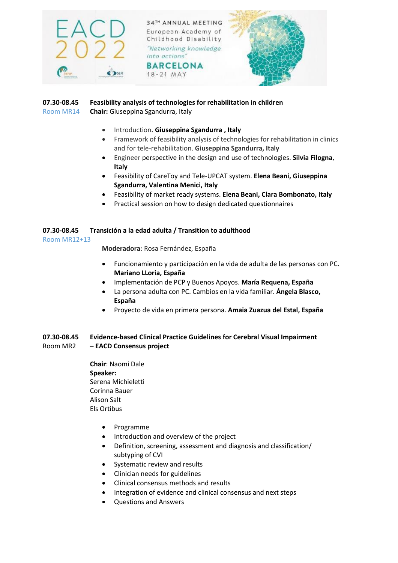

#### **07.30-08.45 Feasibility analysis of technologies for rehabilitation in children** Room MR14 **Chair:** Giuseppina Sgandurra, Italy

- Introduction**. Giuseppina Sgandurra , Italy**
- Framework of feasibility analysis of technologies for rehabilitation in clinics and for tele-rehabilitation. **Giuseppina Sgandurra, Italy**
- Engineer perspective in the design and use of technologies. **Silvia Filogna**, **Italy**
- Feasibility of CareToy and Tele-UPCAT system. **Elena Beani, Giuseppina Sgandurra, Valentina Menici, Italy**
- Feasibility of market ready systems. **Elena Beani, Clara Bombonato, Italy**
- Practical session on how to design dedicated questionnaires

#### **07.30-08.45 Transición a la edad adulta / Transition to adulthood**

#### Room MR12+13

**Moderadora**: Rosa Fernández, España

- Funcionamiento y participación en la vida de adulta de las personas con PC. **Mariano LLoria, España**
- Implementación de PCP y Buenos Apoyos. **María Requena, España**
- La persona adulta con PC. Cambios en la vida familiar. **Ángela Blasco, España**
- Proyecto de vida en primera persona. **Amaia Zuazua del Estal, España**

## **07.30-08.45 Evidence-based Clinical Practice Guidelines for Cerebral Visual Impairment** Room MR2 **– EACD Consensus project**

- **Chair**: Naomi Dale **Speaker:**  Serena Michieletti Corinna Bauer Alison Salt Els Ortibus
	- Programme
	- Introduction and overview of the project
	- Definition, screening, assessment and diagnosis and classification/ subtyping of CVI
	- Systematic review and results
	- Clinician needs for guidelines
	- Clinical consensus methods and results
	- Integration of evidence and clinical consensus and next steps
	- Questions and Answers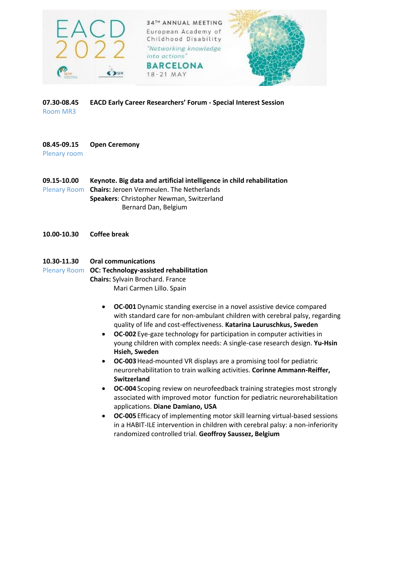



**07.30-08.45 EACD Early Career Researchers' Forum - Special Interest Session** Room MR3

## **08.45-09.15 Open Ceremony**

Plenary room

**09.15-10.00 Keynote. Big data and artificial intelligence in child rehabilitation** Plenary Room **Chairs:** Jeroen Vermeulen. The Netherlands **Speakers**: Christopher Newman, Switzerland Bernard Dan, Belgium

**10.00-10.30 Coffee break**

## **10.30-11.30 Oral communications**

Plenary Room **OC: Technology-assisted rehabilitation**

**Chairs:** Sylvain Brochard. France

Mari Carmen Lillo. Spain

- **OC-001**Dynamic standing exercise in a novel assistive device compared with standard care for non-ambulant children with cerebral palsy, regarding quality of life and cost-effectiveness. **Katarina Lauruschkus, Sweden**
- **OC-002** Eye-gaze technology for participation in computer activities in young children with complex needs: A single-case research design. **Yu-Hsin Hsieh, Sweden**
- **OC-003**Head-mounted VR displays are a promising tool for pediatric neurorehabilitation to train walking activities. **Corinne Ammann-Reiffer, Switzerland**
- **OC-004** Scoping review on neurofeedback training strategies most strongly associated with improved motor function for pediatric neurorehabilitation applications. **Diane Damiano, USA**
- **OC-005** Efficacy of implementing motor skill learning virtual-based sessions in a HABIT-ILE intervention in children with cerebral palsy: a non-inferiority randomized controlled trial. **Geoffroy Saussez, Belgium**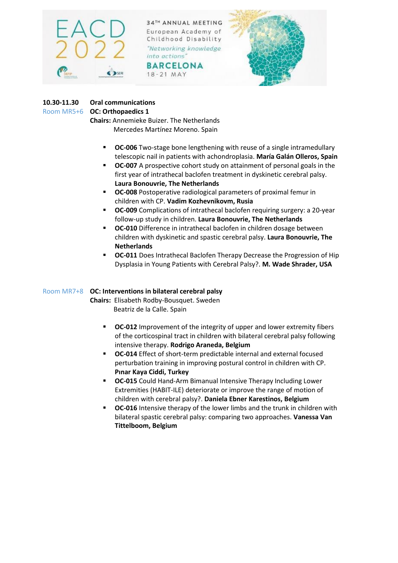

**BARCELONA** 18-21 MAY



# **10.30-11.30 Oral communications**

## Room MR5+6 **OC: Orthopaedics 1**

**Chairs:** Annemieke Buizer. The Netherlands Mercedes Martínez Moreno. Spain

- **CC-006** Two-stage bone lengthening with reuse of a single intramedullary telescopic nail in patients with achondroplasia. **María Galán Olleros, Spain**
- **OC-007** A prospective cohort study on attainment of personal goals in the first year of intrathecal baclofen treatment in dyskinetic cerebral palsy. **Laura Bonouvrie, The Netherlands**
- **OC-008** Postoperative radiological parameters of proximal femur in children with CP. **Vadim Kozhevnikovm, Rusia**
- **OC-009** Complications of intrathecal baclofen requiring surgery: a 20-year follow-up study in children. **Laura Bonouvrie, The Netherlands**
- **OC-010** Difference in intrathecal baclofen in children dosage between children with dyskinetic and spastic cerebral palsy. **Laura Bonouvrie, The Netherlands**
- **OC-011** Does Intrathecal Baclofen Therapy Decrease the Progression of Hip Dysplasia in Young Patients with Cerebral Palsy?. **M. Wade Shrader, USA**

# Room MR7+8 **OC: Interventions in bilateral cerebral palsy**

**Chairs:** Elisabeth Rodby-Bousquet. Sweden Beatriz de la Calle. Spain

- **OC-012** Improvement of the integrity of upper and lower extremity fibers of the corticospinal tract in children with bilateral cerebral palsy following intensive therapy. **Rodrigo Araneda, Belgium**
- **OC-014** Effect of short-term predictable internal and external focused perturbation training in improving postural control in children with CP. **Pınar Kaya Ciddi, Turkey**
- **OC-015** Could Hand-Arm Bimanual Intensive Therapy Including Lower Extremities (HABIT-ILE) deteriorate or improve the range of motion of children with cerebral palsy?. **Daniela Ebner Karestinos, Belgium**
- **OC-016** Intensive therapy of the lower limbs and the trunk in children with bilateral spastic cerebral palsy: comparing two approaches. **Vanessa Van Tittelboom, Belgium**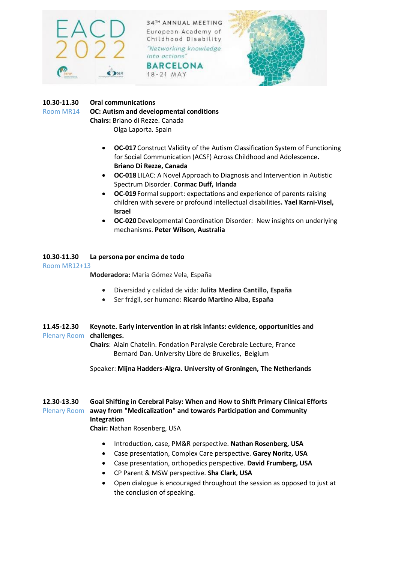

**BARCELONA** 18-21 MAY



## **10.30-11.30 Oral communications**

Room MR14 **OC: Autism and developmental conditions**

**Chairs:** Briano di Rezze. Canada Olga Laporta. Spain

- **OC-017**Construct Validity of the Autism Classification System of Functioning for Social Communication (ACSF) Across Childhood and Adolescence**. Briano Di Rezze, Canada**
- **OC-018**LILAC: A Novel Approach to Diagnosis and Intervention in Autistic Spectrum Disorder. **Cormac Duff, Irlanda**
- **OC-019**Formal support: expectations and experience of parents raising children with severe or profound intellectual disabilities**. Yael Karni-Visel, Israel**
- **OC-020**Developmental Coordination Disorder: New insights on underlying mechanisms. **Peter Wilson, Australia**

## **10.30-11.30 La persona por encima de todo**

Room MR12+13

**Moderadora:** María Gómez Vela, España

- Diversidad y calidad de vida: **Julita Medina Cantillo, España**
- Ser frágil, ser humano: **Ricardo Martino Alba, España**
- **11.45-12.30 Keynote. Early intervention in at risk infants: evidence, opportunities and**  Plenary Room **challenges.**

**Chairs**: Alain Chatelin. Fondation Paralysie Cerebrale Lecture, France Bernard Dan. University Libre de Bruxelles, Belgium

Speaker: **Mijna Hadders-Algra. University of Groningen, The Netherlands**

## **12.30-13.30 Goal Shifting in Cerebral Palsy: When and How to Shift Primary Clinical Efforts**  Plenary Room **away from "Medicalization" and towards Participation and Community Integration**

**Chair:** Nathan Rosenberg, USA

- Introduction, case, PM&R perspective. **Nathan Rosenberg, USA**
- Case presentation, Complex Care perspective. **Garey Noritz, USA**
- Case presentation, orthopedics perspective. **David Frumberg, USA**
- CP Parent & MSW perspective. **Sha Clark, USA**
- Open dialogue is encouraged throughout the session as opposed to just at the conclusion of speaking.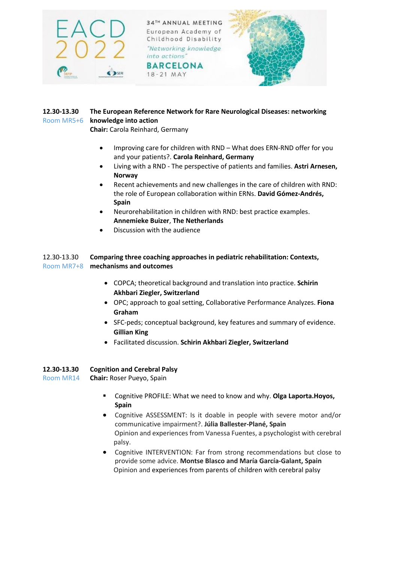

18-21 MAY



## **12.30-13.30 The European Reference Network for Rare Neurological Diseases: networking**  Room MR5+6 **knowledge into action**

**Chair:** Carola Reinhard, Germany

- Improving care for children with RND What does ERN-RND offer for you and your patients?. **Carola Reinhard, Germany**
- Living with a RND The perspective of patients and families. **Astri Arnesen, Norway**
- Recent achievements and new challenges in the care of children with RND: the role of European collaboration within ERNs. **David Gómez-Andrés, Spain**
- Neurorehabilitation in children with RND: best practice examples. **Annemieke Buizer**, **The Netherlands**
- Discussion with the audience

## 12.30-13.30 **Comparing three coaching approaches in pediatric rehabilitation: Contexts,**  Room MR7+8 **mechanisms and outcomes**

- COPCA; theoretical background and translation into practice. **Schirin Akhbari Ziegler, Switzerland**
- OPC; approach to goal setting, Collaborative Performance Analyzes. **Fiona Graham**
- SFC-peds; conceptual background, key features and summary of evidence. **Gillian King**
- Facilitated discussion. **Schirin Akhbari Ziegler, Switzerland**

## **12.30-13.30 Cognition and Cerebral Palsy**

Room MR14 **Chair:** Roser Pueyo, Spain

- Cognitive PROFILE: What we need to know and why. **Olga Laporta.Hoyos, Spain**
- Cognitive ASSESSMENT: Is it doable in people with severe motor and/or communicative impairment?. **Júlia Ballester-Plané, Spain** Opinion and experiences from Vanessa Fuentes, a psychologist with cerebral palsy.
- Cognitive INTERVENTION: Far from strong recommendations but close to provide some advice. **Montse Blasco and María García-Galant, Spain** Opinion and experiences from parents of children with cerebral palsy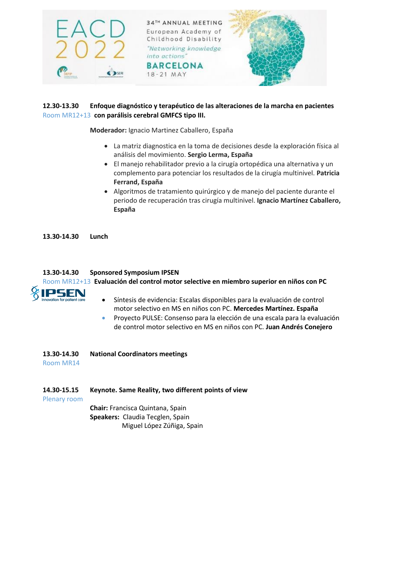

## **12.30-13.30 Enfoque diagnóstico y terapéutico de las alteraciones de la marcha en pacientes** Room MR12+13 **con parálisis cerebral GMFCS tipo III.**

**Moderador:** Ignacio Martinez Caballero, España

- La matriz diagnostica en la toma de decisiones desde la exploración física al análisis del movimiento. **Sergio Lerma, España**
- El manejo rehabilitador previo a la cirugía ortopédica una alternativa y un complemento para potenciar los resultados de la cirugía multinivel. **Patricia Ferrand, España**
- Algoritmos de tratamiento quirúrgico y de manejo del paciente durante el periodo de recuperación tras cirugía multinivel. **Ignacio Martínez Caballero, España**

**13.30-14.30 Lunch**

#### **13.30-14.30 Sponsored Symposium IPSEN**

Room MR12+13 **Evaluación del control motor selective en miembro superior en niños con PC**



- Síntesis de evidencia: Escalas disponibles para la evaluación de control motor selectivo en MS en niños con PC. **Mercedes Martínez. España**
- Proyecto PULSE: Consenso para la elección de una escala para la evaluación de control motor selectivo en MS en niños con PC. **Juan Andrés Conejero**
- **13.30-14.30 National Coordinators meetings**

Room MR14

**14.30-15.15 Keynote. Same Reality, two different points of view**

Plenary room

**Chair:** Francisca Quintana, Spain **Speakers:** Claudia Tecglen, Spain Miguel López Zúñiga, Spain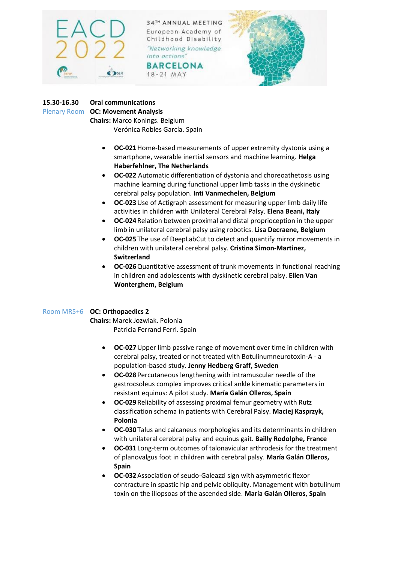

**BARCELONA** 18-21 MAY



# **15.30-16.30 Oral communications**

Plenary Room **OC: Movement Analysis**

**Chairs:** Marco Konings. Belgium Verónica Robles García. Spain

- **OC-021**Home-based measurements of upper extremity dystonia using a smartphone, wearable inertial sensors and machine learning. **Helga Haberfehlner, The Netherlands**
- **OC-022** Automatic differentiation of dystonia and choreoathetosis using machine learning during functional upper limb tasks in the dyskinetic cerebral palsy population. **Inti Vanmechelen, Belgium**
- **OC-023**Use of Actigraph assessment for measuring upper limb daily life activities in children with Unilateral Cerebral Palsy. **Elena Beani, Italy**
- **OC-024**Relation between proximal and distal proprioception in the upper limb in unilateral cerebral palsy using robotics. **Lisa Decraene, Belgium**
- **OC-025**The use of DeepLabCut to detect and quantify mirror movements in children with unilateral cerebral palsy. **Cristina Simon-Martinez, Switzerland**
- **OC-026**Quantitative assessment of trunk movements in functional reaching in children and adolescents with dyskinetic cerebral palsy. **Ellen Van Wonterghem, Belgium**

## Room MR5+6 **OC: Orthopaedics 2**

**Chairs:** Marek Jozwiak. Polonia Patricia Ferrand Ferri. Spain

- **OC-027**Upper limb passive range of movement over time in children with cerebral palsy, treated or not treated with Botulinumneurotoxin-A - a population-based study. **Jenny Hedberg Graff, Sweden**
- **OC-028**Percutaneous lengthening with intramuscular needle of the gastrocsoleus complex improves critical ankle kinematic parameters in resistant equinus: A pilot study. **María Galán Olleros, Spain**
- **OC-029**Reliability of assessing proximal femur geometry with Rutz classification schema in patients with Cerebral Palsy. **Maciej Kasprzyk, Polonia**
- **OC-030**Talus and calcaneus morphologies and its determinants in children with unilateral cerebral palsy and equinus gait. **Bailly Rodolphe, France**
- **OC-031**Long-term outcomes of talonavicular arthrodesis for the treatment of planovalgus foot in children with cerebral palsy. **María Galán Olleros, Spain**
- **OC-032**Association of seudo-Galeazzi sign with asymmetric flexor contracture in spastic hip and pelvic obliquity. Management with botulinum toxin on the iliopsoas of the ascended side. **María Galán Olleros, Spain**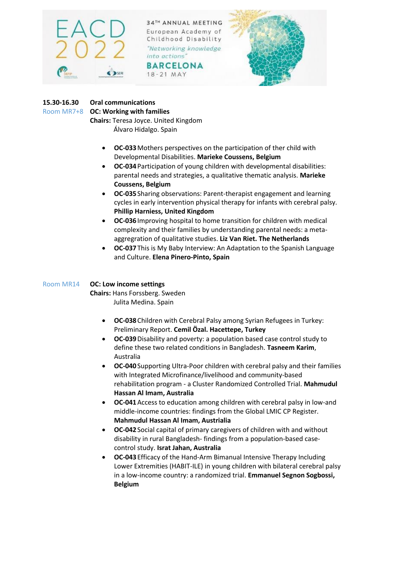

**BARCELONA** 18-21 MAY



## **15.30-16.30 Oral communications**

#### Room MR7+8 **OC: Working with families**

**Chairs:** Teresa Joyce. United Kingdom Álvaro Hidalgo. Spain

- **OC-033**Mothers perspectives on the participation of ther child with Developmental Disabilities. **Marieke Coussens, Belgium**
- **OC-034**Participation of young children with developmental disabilities: parental needs and strategies, a qualitative thematic analysis. **Marieke Coussens, Belgium**
- **OC-035**Sharing observations: Parent-therapist engagement and learning cycles in early intervention physical therapy for infants with cerebral palsy. **Phillip Harniess, United Kingdom**
- **OC-036**Improving hospital to home transition for children with medical complexity and their families by understanding parental needs: a metaaggregration of qualitative studies. **Liz Van Riet. The Netherlands**
- **OC-037**This is My Baby Interview: An Adaptation to the Spanish Language and Culture. **Elena Pinero-Pinto, Spain**

## Room MR14 **OC: Low income settings**

**Chairs:** Hans Forssberg. Sweden Julita Medina. Spain

- **OC-038**Children with Cerebral Palsy among Syrian Refugees in Turkey: Preliminary Report. **Cemil Özal. Hacettepe, Turkey**
- **OC-039**Disability and poverty: a population based case control study to define these two related conditions in Bangladesh. **Tasneem Karim**, Australia
- **OC-040**Supporting Ultra-Poor children with cerebral palsy and their families with Integrated Microfinance/livelihood and community-based rehabilitation program - a Cluster Randomized Controlled Trial. **Mahmudul Hassan Al Imam, Australia**
- **OC-041**Access to education among children with cerebral palsy in low-and middle-income countries: findings from the Global LMIC CP Register. **Mahmudul Hassan Al Imam, Austrialia**
- **OC-042**Social capital of primary caregivers of children with and without disability in rural Bangladesh- findings from a population-based casecontrol study. **Israt Jahan, Australia**
- **OC-043**Efficacy of the Hand-Arm Bimanual Intensive Therapy Including Lower Extremities (HABIT-ILE) in young children with bilateral cerebral palsy in a low-income country: a randomized trial. **Emmanuel Segnon Sogbossi, Belgium**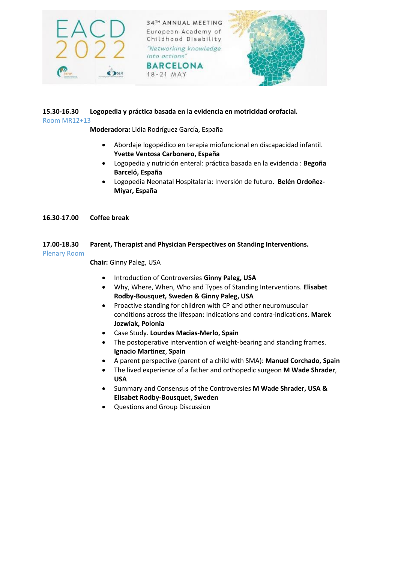





#### **15.30-16.30 Logopedia y práctica basada en la evidencia en motricidad orofacial.**  Room MR12+13

**Moderadora:** Lidia Rodríguez García, España

- Abordaje logopédico en terapia miofuncional en discapacidad infantil. **Yvette Ventosa Carbonero, España**
- Logopedia y nutrición enteral: práctica basada en la evidencia : **Begoña Barceló, España**
- Logopedia Neonatal Hospitalaria: Inversión de futuro. **Belén Ordoñez-Miyar, España**

**16.30-17.00 Coffee break**

#### **17.00-18.30 Parent, Therapist and Physician Perspectives on Standing Interventions.**  Plenary Room

**Chair:** Ginny Paleg, USA

- **•** Introduction of Controversies Ginny Paleg, USA
- Why, Where, When, Who and Types of Standing Interventions. **Elisabet Rodby-Bousquet, Sweden & Ginny Paleg, USA**
- Proactive standing for children with CP and other neuromuscular conditions across the lifespan: Indications and contra-indications. **Marek Jozwiak, Polonia**
- Case Study. **Lourdes Macias-Merlo, Spain**
- The postoperative intervention of weight-bearing and standing frames. **Ignacio Martinez**, **Spain**
- A parent perspective (parent of a child with SMA): **Manuel Corchado, Spain**
- The lived experience of a father and orthopedic surgeon **M Wade Shrader**, **USA**
- Summary and Consensus of the Controversies **M Wade Shrader, USA & Elisabet Rodby-Bousquet, Sweden**
- Questions and Group Discussion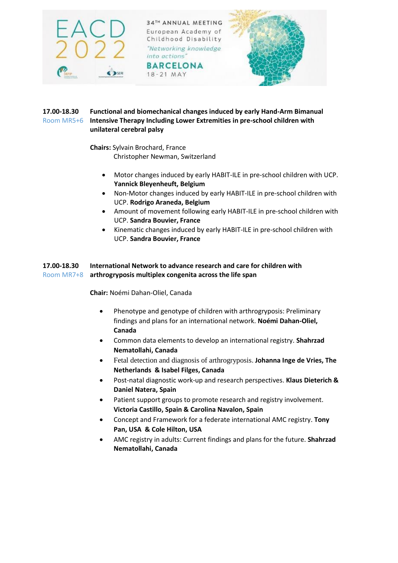

18-21 MAY



## **17.00-18.30 Functional and biomechanical changes induced by early Hand-Arm Bimanual**  Room MR5+6 **Intensive Therapy Including Lower Extremities in pre-school children with unilateral cerebral palsy**

**Chairs:** Sylvain Brochard, France

Christopher Newman, Switzerland

- Motor changes induced by early HABIT-ILE in pre-school children with UCP. **Yannick Bleyenheuft, Belgium**
- Non-Motor changes induced by early HABIT-ILE in pre-school children with UCP. **Rodrigo Araneda, Belgium**
- Amount of movement following early HABIT-ILE in pre-school children with UCP. **Sandra Bouvier, France**
- Kinematic changes induced by early HABIT-ILE in pre-school children with UCP. **Sandra Bouvier, France**

## **17.00-18.30 International Network to advance research and care for children with**  Room MR7+8 **arthrogryposis multiplex congenita across the life span**

**Chair:** Noémi Dahan-Oliel, Canada

- Phenotype and genotype of children with arthrogryposis: Preliminary findings and plans for an international network. **Noémi Dahan-Oliel, Canada**
- Common data elements to develop an international registry. **Shahrzad Nematollahi, Canada**
- Fetal detection and diagnosis of arthrogryposis. **Johanna Inge de Vries, The Netherlands & Isabel Filges, Canada**
- Post-natal diagnostic work-up and research perspectives. **Klaus Dieterich & Daniel Natera, Spain**
- Patient support groups to promote research and registry involvement. **Victoria Castillo, Spain & Carolina Navalon, Spain**
- Concept and Framework for a federate international AMC registry. **Tony Pan, USA & Cole Hilton, USA**
- AMC registry in adults: Current findings and plans for the future. **Shahrzad Nematollahi, Canada**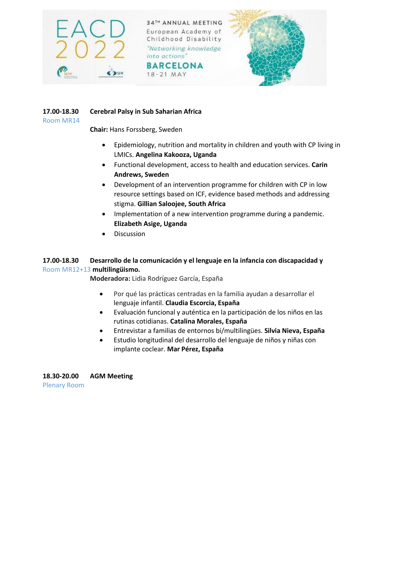

18-21 MAY





## **17.00-18.30 Cerebral Palsy in Sub Saharian Africa**

Room MR14

**Chair:** Hans Forssberg, Sweden

- Epidemiology, nutrition and mortality in children and youth with CP living in LMICs. **Angelina Kakooza, Uganda**
- Functional development, access to health and education services. **Carin Andrews, Sweden**
- Development of an intervention programme for children with CP in low resource settings based on ICF, evidence based methods and addressing stigma. **Gillian Saloojee, South Africa**
- Implementation of a new intervention programme during a pandemic. **Elizabeth Asige, Uganda**
- **•** Discussion

## **17.00-18.30 Desarrollo de la comunicación y el lenguaje en la infancia con discapacidad y**  Room MR12+13 **multilingüismo.**

**Moderadora:** Lidia Rodríguez García, España

- Por qué las prácticas centradas en la familia ayudan a desarrollar el lenguaje infantil. **Claudia Escorcia, España**
- Evaluación funcional y auténtica en la participación de los niños en las rutinas cotidianas. **Catalina Morales, España**
- Entrevistar a familias de entornos bi/multilingües. **Silvia Nieva, España**
- Estudio longitudinal del desarrollo del lenguaje de niños y niñas con implante coclear. **Mar Pérez, España**

**18.30-20.00 AGM Meeting** Plenary Room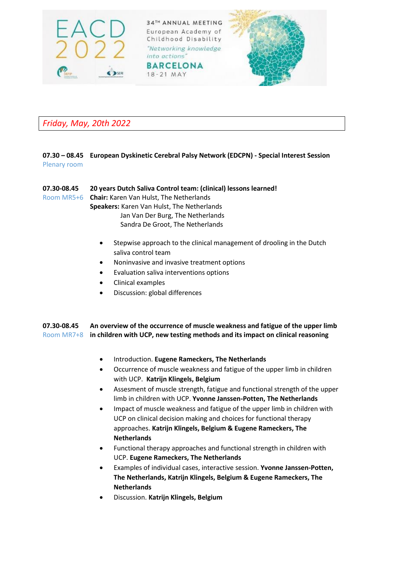

# *Friday, May, 20th 2022*

#### **07.30 – 08.45 European Dyskinetic Cerebral Palsy Network (EDCPN) - Special Interest Session** Plenary room

**07.30-08.45 20 years Dutch Saliva Control team: (clinical) lessons learned!**  Room MR5+6 **Chair:** Karen Van Hulst, The Netherlands **Speakers:** Karen Van Hulst, The Netherlands

 Jan Van Der Burg, The Netherlands Sandra De Groot, The Netherlands

- Stepwise approach to the clinical management of drooling in the Dutch saliva control team
- Noninvasive and invasive treatment options
- Evaluation saliva interventions options
- Clinical examples
- Discussion: global differences

**07.30-08.45 An overview of the occurrence of muscle weakness and fatigue of the upper limb**  Room MR7+8 **in children with UCP, new testing methods and its impact on clinical reasoning**

- Introduction. **Eugene Rameckers, The Netherlands**
- Occurrence of muscle weakness and fatigue of the upper limb in children with UCP. **Katrijn Klingels, Belgium**
- Assesment of muscle strength, fatigue and functional strength of the upper limb in children with UCP. **Yvonne Janssen-Potten, The Netherlands**
- Impact of muscle weakness and fatigue of the upper limb in children with UCP on clinical decision making and choices for functional therapy approaches. **Katrijn Klingels, Belgium & Eugene Rameckers, The Netherlands**
- Functional therapy approaches and functional strength in children with UCP. **Eugene Rameckers, The Netherlands**
- Examples of individual cases, interactive session. **Yvonne Janssen-Potten, The Netherlands, Katrijn Klingels, Belgium & Eugene Rameckers, The Netherlands**
- Discussion. **Katrijn Klingels, Belgium**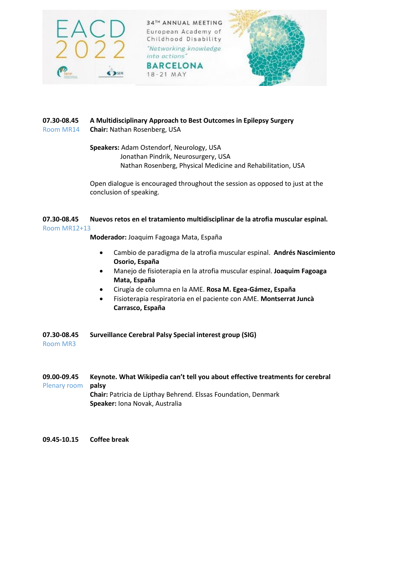

18-21 MAY



## **07.30-08.45 A Multidisciplinary Approach to Best Outcomes in Epilepsy Surgery** Room MR14 **Chair:** Nathan Rosenberg, USA

**Speakers:** Adam Ostendorf, Neurology, USA Jonathan Pindrik, Neurosurgery, USA Nathan Rosenberg, Physical Medicine and Rehabilitation, USA

Open dialogue is encouraged throughout the session as opposed to just at the conclusion of speaking.

## **07.30-08.45 Nuevos retos en el tratamiento multidisciplinar de la atrofia muscular espinal.** Room MR12+13

**Moderador:** Joaquim Fagoaga Mata, España

- Cambio de paradigma de la atrofia muscular espinal. **Andrés Nascimiento Osorio, España**
- Manejo de fisioterapia en la atrofia muscular espinal. **Joaquim Fagoaga Mata, España**
- Cirugía de columna en la AME. **Rosa M. Egea-Gámez, España**
- Fisioterapia respiratoria en el paciente con AME. **Montserrat Juncà Carrasco, España**

## **07.30-08.45 Surveillance Cerebral Palsy Special interest group (SIG)**

Room MR3

- **09.00-09.45 Keynote. What Wikipedia can't tell you about effective treatments for cerebral**  Plenary room **palsy Chair:** Patricia de Lipthay Behrend. Elssas Foundation, Denmark **Speaker:** Iona Novak, Australia
- **09.45-10.15 Coffee break**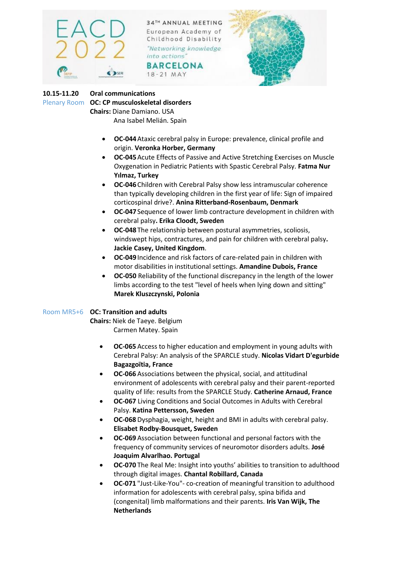

**BARCELONA** 18-21 MAY



## **10.15-11.20 Oral communications** Plenary Room **OC: CP musculoskeletal disorders Chairs:** Diane Damiano. USA Ana Isabel Melián. Spain

- **OC-044**Ataxic cerebral palsy in Europe: prevalence, clinical profile and origin. **Veronka Horber, Germany**
- **OC-045**Acute Effects of Passive and Active Stretching Exercises on Muscle Oxygenation in Pediatric Patients with Spastic Cerebral Palsy. **Fatma Nur Yılmaz, Turkey**
- **OC-046**Children with Cerebral Palsy show less intramuscular coherence than typically developing children in the first year of life: Sign of impaired corticospinal drive?. **Anina Ritterband-Rosenbaum, Denmark**
- **OC-047**Sequence of lower limb contracture development in children with cerebral palsy**. Erika Cloodt, Sweden**
- **OC-048**The relationship between postural asymmetries, scoliosis, windswept hips, contractures, and pain for children with cerebral palsy**. Jackie Casey, United Kingdom**.
- **OC-049**Incidence and risk factors of care-related pain in children with motor disabilities in institutional settings. **Amandine Dubois, France**
- **OC-050** Reliability of the functional discrepancy in the length of the lower limbs according to the test "level of heels when lying down and sitting" **Marek Kluszczynski, Polonia**

## Room MR5+6 **OC: Transition and adults**

**Chairs:** Niek de Taeye. Belgium Carmen Matey. Spain

- **OC-065** Access to higher education and employment in young adults with Cerebral Palsy: An analysis of the SPARCLE study. **Nicolas Vidart D'egurbide Bagazgoïtia, France**
- **OC-066** Associations between the physical, social, and attitudinal environment of adolescents with cerebral palsy and their parent-reported quality of life: results from the SPARCLE Study. **Catherine Arnaud, France**
- **OC-067** Living Conditions and Social Outcomes in Adults with Cerebral Palsy. **Katina Pettersson, Sweden**
- **OC-068** Dysphagia, weight, height and BMI in adults with cerebral palsy. **Elisabet Rodby-Bousquet, Sweden**
- **OC-069** Association between functional and personal factors with the frequency of community services of neuromotor disorders adults. **José Joaquim Alvarlhao. Portugal**
- **OC-070** The Real Me: Insight into youths' abilities to transition to adulthood through digital images. **Chantal Robillard, Canada**
- **OC-071** "Just-Like-You"- co-creation of meaningful transition to adulthood information for adolescents with cerebral palsy, spina bifida and (congenital) limb malformations and their parents. **Iris Van Wijk, The Netherlands**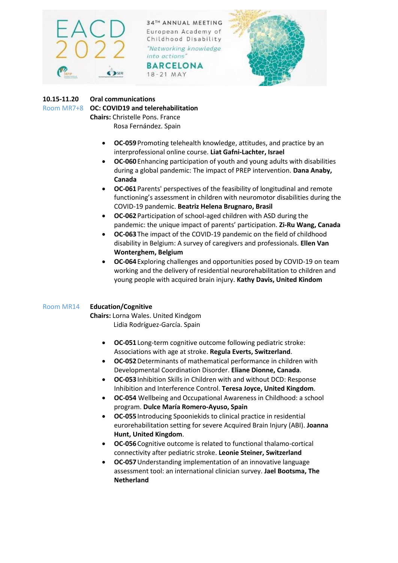

**BARCELONA** 18-21 MAY



## **10.15-11.20 Oral communications**

Room MR7+8 **OC: COVID19 and telerehabilitation**

**Chairs:** Christelle Pons. France Rosa Fernández. Spain

- **OC-059**Promoting telehealth knowledge, attitudes, and practice by an interprofessional online course. **Liat Gafni-Lachter, Israel**
- **OC-060**Enhancing participation of youth and young adults with disabilities during a global pandemic: The impact of PREP intervention. **Dana Anaby, Canada**
- **OC-061**Parents' perspectives of the feasibility of longitudinal and remote functioning's assessment in children with neuromotor disabilities during the COVID-19 pandemic. **Beatriz Helena Brugnaro, Brasil**
- **OC-062**Participation of school-aged children with ASD during the pandemic: the unique impact of parents' participation. **Zi-Ru Wang, Canada**
- **OC-063**The impact of the COVID-19 pandemic on the field of childhood disability in Belgium: A survey of caregivers and professionals. **Ellen Van Wonterghem, Belgium**
- **OC-064**Exploring challenges and opportunities posed by COVID-19 on team working and the delivery of residential neurorehabilitation to children and young people with acquired brain injury. **Kathy Davis, United Kindom**

## Room MR14 **Education/Cognitive**

**Chairs:** Lorna Wales. United Kindgom Lidia Rodríguez-García. Spain

- **OC-051**Long-term cognitive outcome following pediatric stroke: Associations with age at stroke. **Regula Everts, Switzerland**.
- **OC-052**Determinants of mathematical performance in children with Developmental Coordination Disorder. **Eliane Dionne, Canada**.
- **OC-053**Inhibition Skills in Children with and without DCD: Response Inhibition and Interference Control. **Teresa Joyce, United Kingdom**.
- **OC-054** Wellbeing and Occupational Awareness in Childhood: a school program. **Dulce María Romero-Ayuso, Spain**
- **OC-055**Introducing Spooniekids to clinical practice in residential eurorehabilitation setting for severe Acquired Brain Injury (ABI). **Joanna Hunt, United Kingdom**.
- **OC-056**Cognitive outcome is related to functional thalamo-cortical connectivity after pediatric stroke. **Leonie Steiner, Switzerland**
- **OC-057**Understanding implementation of an innovative language assessment tool: an international clinician survey. **Jael Bootsma, The Netherland**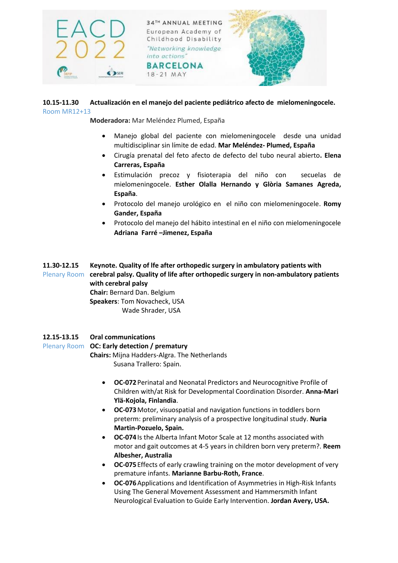

#### **10.15-11.30 Actualización en el manejo del paciente pediátrico afecto de mielomeningocele.** Room MR12+13

**Moderadora:** Mar Meléndez Plumed, España

- Manejo global del paciente con mielomeningocele desde una unidad multidisciplinar sin límite de edad. **Mar Meléndez- Plumed, España**
- Cirugía prenatal del feto afecto de defecto del tubo neural abierto**. Elena Carreras, España**
- Estimulación precoz y fisioterapia del niño con secuelas de mielomeningocele. **Esther Olalla Hernando y Glòria Samanes Agreda, España**.
- Protocolo del manejo urológico en el niño con mielomeningocele. **Romy Gander, España**
- Protocolo del manejo del hábito intestinal en el niño con mielomeningocele **Adriana Farré –Jimenez, España**

**11.30-12.15 Keynote. Quality of lfe after orthopedic surgery in ambulatory patients with** Plenary Room **cerebral palsy. Quality of life after orthopedic surgery in non-ambulatory patients with cerebral palsy Chair:** Bernard Dan. Belgium **Speakers**: Tom Novacheck, USA Wade Shrader, USA

## **12.15-13.15 Oral communications**

#### Plenary Room **OC: Early detection / prematury**

**Chairs:** Mijna Hadders-Algra. The Netherlands Susana Trallero: Spain.

- **OC-072**Perinatal and Neonatal Predictors and Neurocognitive Profile of Children with/at Risk for Developmental Coordination Disorder. **Anna-Mari Ylä-Kojola, Finlandia**.
- **OC-073**Motor, visuospatial and navigation functions in toddlers born preterm: preliminary analysis of a prospective longitudinal study. **Nuria Martin-Pozuelo, Spain.**
- **OC-074**Is the Alberta Infant Motor Scale at 12 months associated with motor and gait outcomes at 4-5 years in children born very preterm?. **Reem Albesher, Australia**
- **OC-075**Effects of early crawling training on the motor development of very premature infants. **Marianne Barbu-Roth, France**.
- **OC-076**Applications and Identification of Asymmetries in High-Risk Infants Using The General Movement Assessment and Hammersmith Infant Neurological Evaluation to Guide Early Intervention. **Jordan Avery, USA.**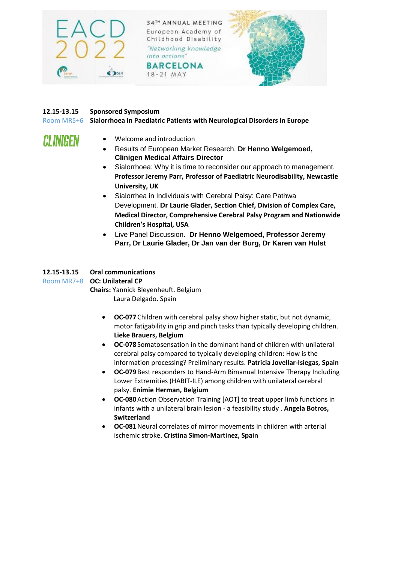

18-21 MAY



## **12.15-13.15 Sponsored Symposium**

**CLINIGEN** 

Room MR5+6 **Sialorrhoea in Paediatric Patients with Neurological Disorders in Europe**

- Welcome and introduction
	- Results of European Market Research. **Dr Henno Welgemoed, Clinigen Medical Affairs Director**
	- Sialorrhoea: Why it is time to reconsider our approach to management. **Professor Jeremy Parr, Professor of Paediatric Neurodisability, Newcastle University, UK**
	- Sialorrhea in Individuals with Cerebral Palsy: Care Pathwa Development. **Dr Laurie Glader, Section Chief, Division of Complex Care, Medical Director, Comprehensive Cerebral Palsy Program and Nationwide Children's Hospital, USA**
	- Live Panel Discussion. **Dr Henno Welgemoed, Professor Jeremy Parr, Dr Laurie Glader, Dr Jan van der Burg, Dr Karen van Hulst**

## **12.15-13.15 Oral communications**

#### Room MR7+8 **OC: Unilateral CP**

**Chairs:** Yannick Bleyenheuft. Belgium Laura Delgado. Spain

- **OC-077**Children with cerebral palsy show higher static, but not dynamic, motor fatigability in grip and pinch tasks than typically developing children. **Lieke Brauers, Belgium**
- **OC-078**Somatosensation in the dominant hand of children with unilateral cerebral palsy compared to typically developing children: How is the information processing? Preliminary results. **Patricia Jovellar-Isiegas, Spain**
- **OC-079**Best responders to Hand-Arm Bimanual Intensive Therapy Including Lower Extremities (HABIT-ILE) among children with unilateral cerebral palsy. **Enimie Herman, Belgium**
- **OC-080**Action Observation Training [AOT] to treat upper limb functions in infants with a unilateral brain lesion - a feasibility study . **Angela Botros, Switzerland**
- **OC-081**Neural correlates of mirror movements in children with arterial ischemic stroke. **Cristina Simon-Martinez, Spain**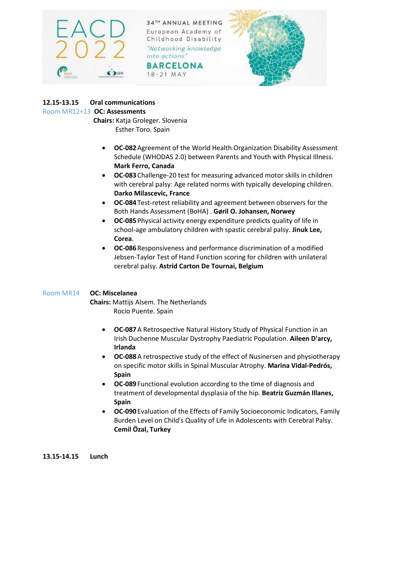

**BARCELONA** 18-21 MAY



## **12.15-13.15 Oral communications**

#### Room MR12+13 **OC: Assessments**

 **Chairs:** Katja Groleger. Slovenia Esther Toro. Spain

- **OC-082**Agreement of the World Health Organization Disability Assessment Schedule (WHODAS 2.0) between Parents and Youth with Physical Illness. **Mark Ferro, Canada**
- **OC-083**Challenge-20 test for measuring advanced motor skills in children with cerebral palsy: Age related norms with typically developing children. **Darko Milascevic, France**
- **OC-084**Test-retest reliability and agreement between observers for the Both Hands Assessment (BoHA) . **Gøril O. Johansen, Norwey**
- **OC-085**Physical activity energy expenditure predicts quality of life in school-age ambulatory children with spastic cerebral palsy. **Jinuk Lee, Corea**.
- **OC-086**Responsiveness and performance discrimination of a modified Jebsen-Taylor Test of Hand Function scoring for children with unilateral cerebral palsy. **Astrid Carton De Tournai, Belgium**

## Room MR14 **OC: Miscelanea**

**Chairs:** Mattijs Alsem. The Netherlands Rocio Puente. Spain

- **OC-087**A Retrospective Natural History Study of Physical Function in an Irish Duchenne Muscular Dystrophy Paediatric Population. **Aileen D'arcy, Irlanda**
- **OC-088**A retrospective study of the effect of Nusinersen and physiotherapy on specific motor skills in Spinal Muscular Atrophy. **Marina Vidal-Pedrós, Spain**
- **OC-089**Functional evolution according to the time of diagnosis and treatment of developmental dysplasia of the hip. **Beatriz Guzmán Illanes, Spain**
- **OC-090**Evaluation of the Effects of Family Socioeconomic Indicators, Family Burden Level on Child's Quality of Life in Adolescents with Cerebral Palsy. **Cemil Özal, Turkey**

**13.15-14.15 Lunch**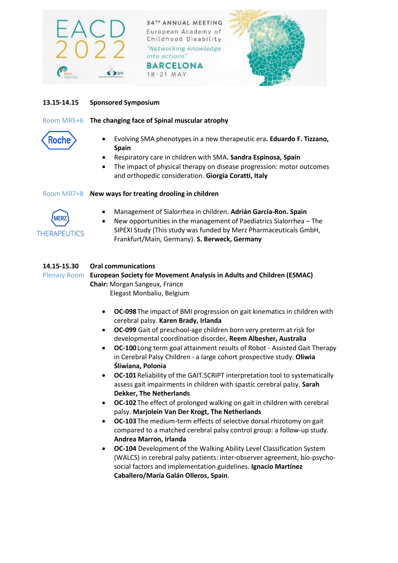

18-21 MAY



## **13.15-14.15 Sponsored Symposium**

## Room MR5+6 **The changing face of Spinal muscular atrophy**

# Roche

- Evolving SMA phenotypes in a new therapeutic era**. Eduardo F. Tizzano, Spain**
- Respiratory care in children with SMA**. Sandra Espinosa, Spain**
- The impact of physical therapy on disease progression: motor outcomes and orthopedic consideration. **Giorgia Coratti, Italy**

## Room MR7+8 **New ways for treating drooling in children**



- Management of Sialorrhea in children. **Adrián Garcia-Ron. Spain**
- New opportunities in the management of Paediatrics Sialorrhea The SIPEXI Study (This study was funded by Merz Pharmaceuticals GmbH, Frankfurt/Main, Germany). **S. Berweck, Germany**

## **14.15-15.30 Oral communications**

Plenary Room **European Society for Movement Analysis in Adults and Children (ESMAC) Chair:** Morgan Sangeux, France Elegast Monbaliu, Belgium

- **OC-098**The impact of BMI progression on gait kinematics in children with cerebral palsy. **Karen Brady, Irlanda**
- **OC-099** Gait of preschool-age children born very preterm at risk for developmental coordination disorder**. Reem Albesher, Australia**
- **OC-100**Long term goal attainment results of Robot Assisted Gait Therapy in Cerebral Palsy Children - a large cohort prospective study. **Oliwia Śliwiana, Polonia**
- **OC-101**Reliability of the GAIT.SCRIPT interpretation tool to systematically assess gait impairments in children with spastic cerebral palsy. **Sarah Dekker, The Netherlands**
- **OC-102**The effect of prolonged walking on gait in children with cerebral palsy. **Marjolein Van Der Krogt, The Netherlands**
- **OC-103**The medium-term effects of selective dorsal rhizotomy on gait compared to a matched cerebral palsy control group: a follow-up study. **Andrea Marron, Irlanda**
- **OC-104** Development of the Walking Ability Level Classification System (WALCS) in cerebral palsy patients: inter-observer agreement, bio-psychosocial factors and implementation guidelines. **Ignacio Martínez Caballero/María Galán Olleros, Spain**.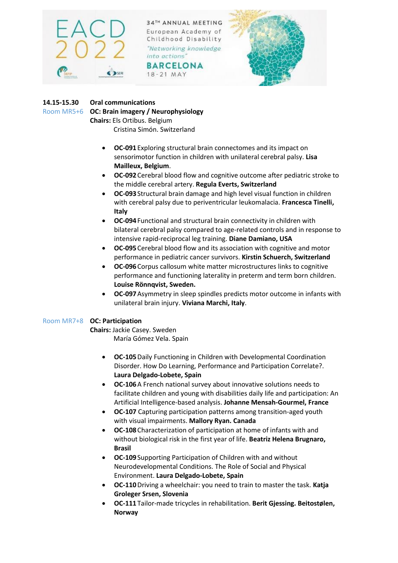

**BARCELONA** 18-21 MAY



## **14.15-15.30 Oral communications**

Room MR5+6 **OC: Brain imagery / Neurophysiology**

**Chairs:** Els Ortibus. Belgium Cristina Simón. Switzerland

- **OC-091**Exploring structural brain connectomes and its impact on sensorimotor function in children with unilateral cerebral palsy. **Lisa Mailleux, Belgium**.
- **OC-092**Cerebral blood flow and cognitive outcome after pediatric stroke to the middle cerebral artery. **Regula Everts, Switzerland**
- **OC-093**Structural brain damage and high level visual function in children with cerebral palsy due to periventricular leukomalacia. **Francesca Tinelli, Italy**
- **OC-094**Functional and structural brain connectivity in children with bilateral cerebral palsy compared to age-related controls and in response to intensive rapid-reciprocal leg training. **Diane Damiano, USA**
- **OC-095**Cerebral blood flow and its association with cognitive and motor performance in pediatric cancer survivors. **Kirstin Schuerch, Switzerland**
- **OC-096**Corpus callosum white matter microstructures links to cognitive performance and functioning laterality in preterm and term born children. **Louise Rönnqvist, Sweden.**
- **OC-097**Asymmetry in sleep spindles predicts motor outcome in infants with unilateral brain injury. **Viviana Marchi, Italy**.

## Room MR7+8 **OC: Participation**

**Chairs:** Jackie Casey. Sweden

María Gómez Vela. Spain

- **OC-105**Daily Functioning in Children with Developmental Coordination Disorder. How Do Learning, Performance and Participation Correlate?. **Laura Delgado-Lobete, Spain**
- **OC-106**A French national survey about innovative solutions needs to facilitate children and young with disabilities daily life and participation: An Artificial Intelligence-based analysis. **Johanne Mensah-Gourmel, France**
- **OC-107** Capturing participation patterns among transition-aged youth with visual impairments. **Mallory Ryan. Canada**
- **OC-108**Characterization of participation at home of infants with and without biological risk in the first year of life. **Beatriz Helena Brugnaro, Brasil**
- **OC-109**Supporting Participation of Children with and without Neurodevelopmental Conditions. The Role of Social and Physical Environment. **Laura Delgado-Lobete, Spain**
- **OC-110**Driving a wheelchair: you need to train to master the task. **Katja Groleger Srsen, Slovenia**
- **OC-111**Tailor-made tricycles in rehabilitation. **Berit Gjessing. Beitostølen, Norway**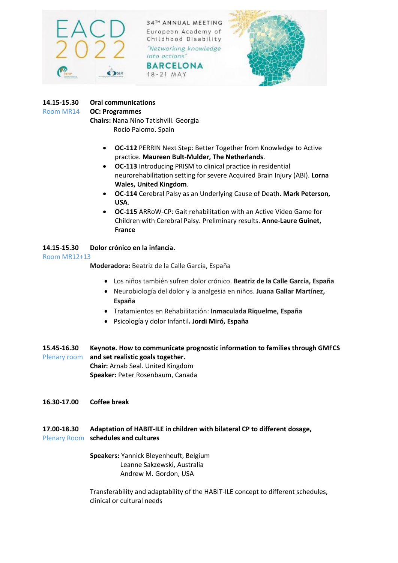

**BARCELONA** 18-21 MAY



## **14.15-15.30 Oral communications**

#### Room MR14 **OC: Programmes**

**Chairs:** Nana Nino Tatishvili. Georgia Rocío Palomo. Spain

- **OC-112** PERRIN Next Step: Better Together from Knowledge to Active practice. **Maureen Bult-Mulder, The Netherlands**.
- **OC-113** Introducing PRISM to clinical practice in residential neurorehabilitation setting for severe Acquired Brain Injury (ABI). **Lorna Wales, United Kingdom**.
- **OC-114** Cerebral Palsy as an Underlying Cause of Death**. Mark Peterson, USA**.
- **OC-115** ARRoW-CP: Gait rehabilitation with an Active Video Game for Children with Cerebral Palsy. Preliminary results. **Anne-Laure Guinet, France**

## **14.15-15.30 Dolor crónico en la infancia.**

## Room MR12+13

**Moderadora:** Beatriz de la Calle García, España

- Los niños también sufren dolor crónico. **Beatriz de la Calle García, España**
- Neurobiología del dolor y la analgesia en niños. **Juana Gallar Martínez, España**
- Tratamientos en Rehabilitación: **Inmaculada Riquelme, España**
- Psicología y dolor Infantil**. Jordi Miró, España**
- **15.45-16.30 Keynote. How to communicate prognostic information to families through GMFCS**  Plenary room **and set realistic goals together. Chair:** Arnab Seal. United Kingdom **Speaker:** Peter Rosenbaum, Canada
- **16.30-17.00 Coffee break**

## **17.00-18.30 Adaptation of HABIT-ILE in children with bilateral CP to different dosage,**  Plenary Room **schedules and cultures**

**Speakers:** Yannick Bleyenheuft, Belgium Leanne Sakzewski, Australia Andrew M. Gordon, USA

Transferability and adaptability of the HABIT-ILE concept to different schedules, clinical or cultural needs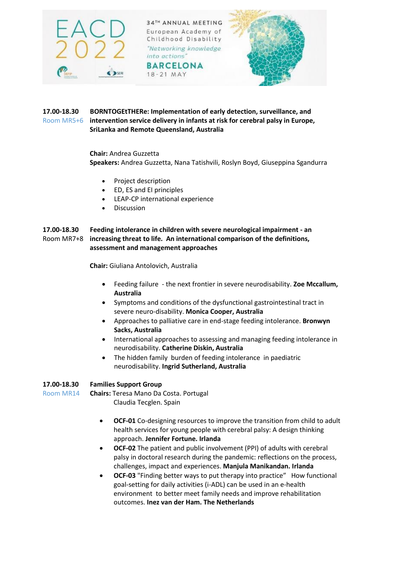

18-21 MAY



#### **17.00-18.30 BORNTOGEtTHERe: Implementation of early detection, surveillance, and**  Room MR5+6 **intervention service delivery in infants at risk for cerebral palsy in Europe, SriLanka and Remote Queensland, Australia**

## **Chair:** Andrea Guzzetta **Speakers:** Andrea Guzzetta, Nana Tatishvili, Roslyn Boyd, Giuseppina Sgandurra

- Project description
- ED, ES and EI principles
- LEAP-CP international experience
- Discussion

#### **17.00-18.30 Feeding intolerance in children with severe neurological impairment - an**  Room MR7+8 **increasing threat to life. An international comparison of the definitions, assessment and management approaches**

**Chair:** Giuliana Antolovich, Australia

- Feeding failure the next frontier in severe neurodisability. **Zoe Mccallum, Australia**
- Symptoms and conditions of the dysfunctional gastrointestinal tract in severe neuro-disability. **Monica Cooper, Australia**
- Approaches to palliative care in end-stage feeding intolerance. **Bronwyn Sacks, Australia**
- International approaches to assessing and managing feeding intolerance in neurodisability. **Catherine Diskin, Australia**
- The hidden family burden of feeding intolerance in paediatric neurodisability. **Ingrid Sutherland, Australia**

## **17.00-18.30 Families Support Group**

Room MR14 **Chairs:** Teresa Mano Da Costa. Portugal Claudia Tecglen. Spain

- **OCF-01** Co-designing resources to improve the transition from child to adult health services for young people with cerebral palsy: A design thinking approach. **Jennifer Fortune. Irlanda**
- **OCF-02** The patient and public involvement (PPI) of adults with cerebral palsy in doctoral research during the pandemic: reflections on the process, challenges, impact and experiences. **Manjula Manikandan. Irlanda**
- **OCF-03** "Finding better ways to put therapy into practice" How functional goal-setting for daily activities (i-ADL) can be used in an e-health environment to better meet family needs and improve rehabilitation outcomes. **Inez van der Ham. The Netherlands**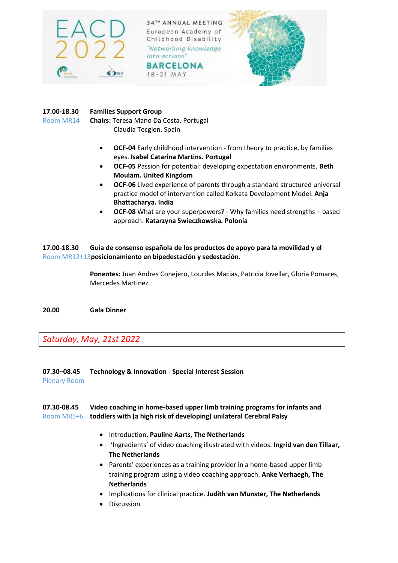

18-21 MAY



## **17.00-18.30 Families Support Group**

Room MR14 **Chairs:** Teresa Mano Da Costa. Portugal Claudia Tecglen. Spain

- **OCF-04** Early childhood intervention from theory to practice, by families eyes. **Isabel Catarina Martins. Portugal**
- **OCF-05** Passion for potential: developing expectation environments. **Beth Moulam. United Kingdom**
- **OCF-06** Lived experience of parents through a standard structured universal practice model of intervention called Kolkata Development Model. **Anja Bhattacharya. India**
- **OCF-08** What are your superpowers? Why families need strengths based approach. **Katarzyna Swieczkowska. Polonia**

## **17.00-18.30 Guía de consenso española de los productos de apoyo para la movilidad y el**  Room MR12+13**posicionamiento en bipedestación y sedestación.**

**Ponentes:** Juan Andres Conejero, Lourdes Macias, Patricia Jovellar, Gloria Pomares, Mercedes Martinez

**20.00 Gala Dinner**

*Saturday, May, 21st 2022* 

**07.30–08.45 Technology & Innovation - Special Interest Session** Plenary Room

## **07.30-08.45 Video coaching in home-based upper limb training programs for infants and**  Room MR5+6 **toddlers with (a high risk of developing) unilateral Cerebral Palsy**

- Introduction. **Pauline Aarts, The Netherlands**
- 'Ingredients' of video coaching illustrated with videos. **Ingrid van den Tillaar, The Netherlands**
- Parents' experiences as a training provider in a home-based upper limb training program using a video coaching approach. **Anke Verhaegh, The Netherlands**
- Implications for clinical practice. **Judith van Munster, The Netherlands**
- Discussion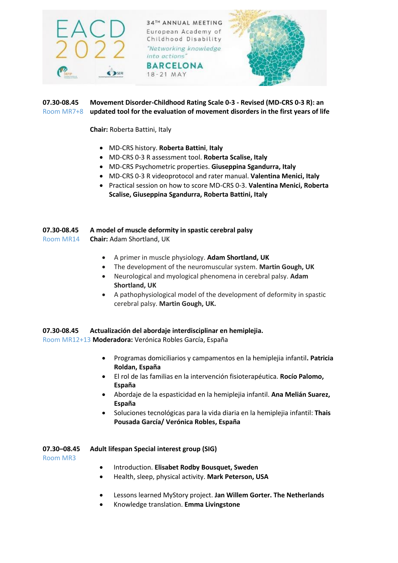

## **07.30-08.45 Movement Disorder-Childhood Rating Scale 0-3 - Revised (MD-CRS 0-3 R): an**  Room MR7+8 **updated tool for the evaluation of movement disorders in the first years of life**

**Chair:** Roberta Battini, Italy

- MD-CRS history. **Roberta Battini**, **Italy**
- MD-CRS 0-3 R assessment tool. **Roberta Scalise, Italy**
- MD-CRS Psychometric properties. **Giuseppina Sgandurra, Italy**
- MD-CRS 0-3 R videoprotocol and rater manual. **Valentina Menici, Italy**
- Practical session on how to score MD-CRS 0-3. **Valentina Menici, Roberta Scalise, Giuseppina Sgandurra, Roberta Battini, Italy**

| 07.30-08.45 | A model of muscle deformity in spastic cerebral palsy |
|-------------|-------------------------------------------------------|
| Room MR14   | <b>Chair: Adam Shortland, UK</b>                      |

- A primer in muscle physiology. **Adam Shortland, UK**
- The development of the neuromuscular system. **Martin Gough, UK**
- Neurological and myological phenomena in cerebral palsy. **Adam Shortland, UK**
- A pathophysiological model of the development of deformity in spastic cerebral palsy. **Martin Gough, UK.**

#### **07.30-08.45 Actualización del abordaje interdisciplinar en hemiplejia.**

Room MR12+13 **Moderadora:** Verónica Robles García, España

- Programas domiciliarios y campamentos en la hemiplejia infantil**. Patricia Roldan, España**
- El rol de las familias en la intervención fisioterapéutica. **Rocío Palomo, España**
- Abordaje de la espasticidad en la hemiplejia infantil. **Ana Melián Suarez, España**
- Soluciones tecnológicas para la vida diaria en la hemiplejia infantil: **Thais Pousada García/ Verónica Robles, España**

#### **07.30–08.45 Adult lifespan Special interest group (SIG)**

Room MR3

- Introduction. **Elisabet Rodby Bousquet, Sweden**
- Health, sleep, physical activity. **Mark Peterson, USA**
- Lessons learned MyStory project. **Jan Willem Gorter. The Netherlands**
- Knowledge translation. **Emma Livingstone**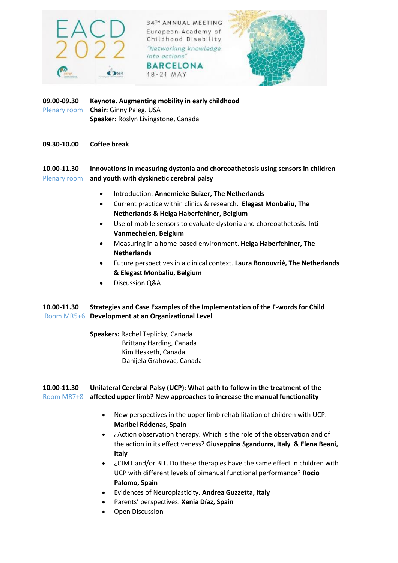

**BARCELONA** 18-21 MAY



**09.00-09.30 Keynote. Augmenting mobility in early childhood**  Plenary room **Chair:** Ginny Paleg. USA **Speaker:** Roslyn Livingstone, Canada

**09.30-10.00 Coffee break**

**10.00-11.30 Innovations in measuring dystonia and choreoathetosis using sensors in children**  Plenary room **and youth with dyskinetic cerebral palsy**

- Introduction. **Annemieke Buizer, The Netherlands**
- Current practice within clinics & research**. Elegast Monbaliu, The Netherlands & Helga Haberfehlner, Belgium**
- Use of mobile sensors to evaluate dystonia and choreoathetosis. **Inti Vanmechelen, Belgium**
- Measuring in a home-based environment. **Helga Haberfehlner, The Netherlands**
- Future perspectives in a clinical context. **Laura Bonouvrié, The Netherlands & Elegast Monbaliu, Belgium**
- Discussion Q&A

## **10.00-11.30 Strategies and Case Examples of the Implementation of the F-words for Child** Room MR5+6 **Development at an Organizational Level**

**Speakers:** Rachel Teplicky, Canada Brittany Harding, Canada Kim Hesketh, Canada Danijela Grahovac, Canada

## **10.00-11.30 Unilateral Cerebral Palsy (UCP): What path to follow in the treatment of the**  Room MR7+8 **affected upper limb? New approaches to increase the manual functionality**

- New perspectives in the upper limb rehabilitation of children with UCP. **Maribel Ródenas, Spain**
- ¿Action observation therapy. Which is the role of the observation and of the action in its effectiveness? **Giuseppina Sgandurra, Italy & Elena Beani, Italy**
- ¿CIMT and/or BIT. Do these therapies have the same effect in children with UCP with different levels of bimanual functional performance? **Rocio Palomo, Spain**
- Evidences of Neuroplasticity. **Andrea Guzzetta, Italy**
- Parents' perspectives. **Xenia Díaz, Spain**
- Open Discussion